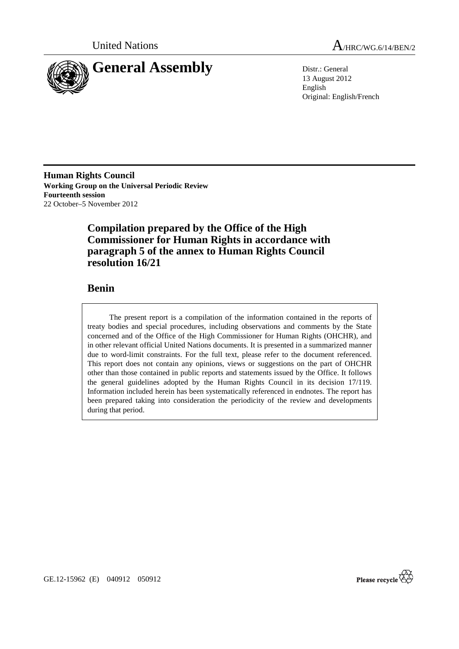

United Nations A/HRC/WG.6/14/BEN/2

13 August 2012 English Original: English/French

**Human Rights Council Working Group on the Universal Periodic Review Fourteenth session**  22 October–5 November 2012

# **Compilation prepared by the Office of the High Commissioner for Human Rights in accordance with paragraph 5 of the annex to Human Rights Council resolution 16/21**

# **Benin**

The present report is a compilation of the information contained in the reports of treaty bodies and special procedures, including observations and comments by the State concerned and of the Office of the High Commissioner for Human Rights (OHCHR), and in other relevant official United Nations documents. It is presented in a summarized manner due to word-limit constraints. For the full text, please refer to the document referenced. This report does not contain any opinions, views or suggestions on the part of OHCHR other than those contained in public reports and statements issued by the Office. It follows the general guidelines adopted by the Human Rights Council in its decision 17/119. Information included herein has been systematically referenced in endnotes. The report has been prepared taking into consideration the periodicity of the review and developments during that period.



GE.12-15962 (E) 040912 050912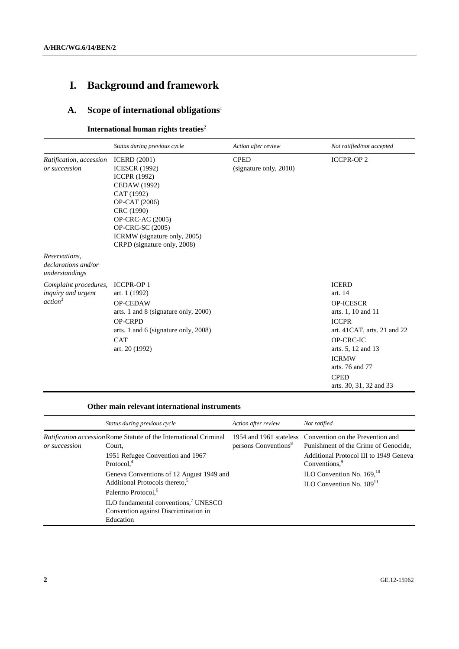# **I. Background and framework**

# **A. Scope of international obligations**<sup>1</sup>

# **International human rights treaties<sup>2</sup>**

|                                                                    | Status during previous cycle                                                                                                                                                                                                           | Action after review                   | Not ratified/not accepted                                                                                                                                                                                                        |
|--------------------------------------------------------------------|----------------------------------------------------------------------------------------------------------------------------------------------------------------------------------------------------------------------------------------|---------------------------------------|----------------------------------------------------------------------------------------------------------------------------------------------------------------------------------------------------------------------------------|
| Ratification, accession<br>or succession                           | <b>ICERD</b> (2001)<br><b>ICESCR (1992)</b><br><b>ICCPR (1992)</b><br>CEDAW (1992)<br>CAT (1992)<br>OP-CAT (2006)<br>CRC (1990)<br>OP-CRC-AC (2005)<br>OP-CRC-SC (2005)<br>ICRMW (signature only, 2005)<br>CRPD (signature only, 2008) | <b>CPED</b><br>(signature only, 2010) | <b>ICCPR-OP2</b>                                                                                                                                                                                                                 |
| Reservations,<br>declarations and/or<br>understandings             |                                                                                                                                                                                                                                        |                                       |                                                                                                                                                                                                                                  |
| Complaint procedures,<br>inquiry and urgent<br>action <sup>3</sup> | <b>ICCPR-OP1</b><br>art. 1 (1992)<br><b>OP-CEDAW</b><br>arts. 1 and 8 (signature only, 2000)<br><b>OP-CRPD</b><br>arts. 1 and 6 (signature only, 2008)<br><b>CAT</b><br>art. 20 (1992)                                                 |                                       | <b>ICERD</b><br>art. 14<br><b>OP-ICESCR</b><br>arts. 1, 10 and 11<br><b>ICCPR</b><br>art. 41CAT, arts. 21 and 22<br>OP-CRC-IC<br>arts. 5, 12 and 13<br><b>ICRMW</b><br>arts. 76 and 77<br><b>CPED</b><br>arts. 30, 31, 32 and 33 |

#### **Other main relevant international instruments**

|                                                                                                     | Status during previous cycle                                                                                                            | Action after review              | Not ratified                                                                                     |
|-----------------------------------------------------------------------------------------------------|-----------------------------------------------------------------------------------------------------------------------------------------|----------------------------------|--------------------------------------------------------------------------------------------------|
| <i>Ratification accession</i> Rome Statute of the International Criminal<br>or succession<br>Court. |                                                                                                                                         | persons Conventions <sup>8</sup> | 1954 and 1961 stateless Convention on the Prevention and<br>Punishment of the Crime of Genocide, |
|                                                                                                     | 1951 Refugee Convention and 1967<br>Protocol. <sup>4</sup>                                                                              |                                  | Additional Protocol III to 1949 Geneva<br>Conventions, <sup>9</sup>                              |
|                                                                                                     | Geneva Conventions of 12 August 1949 and<br>Additional Protocols thereto, <sup>5</sup>                                                  |                                  | ILO Convention No. $169$ , <sup>10</sup><br>$II.O$ Convention No. $18911$                        |
|                                                                                                     | Palermo Protocol, <sup>6</sup><br>ILO fundamental conventions, <sup>7</sup> UNESCO<br>Convention against Discrimination in<br>Education |                                  |                                                                                                  |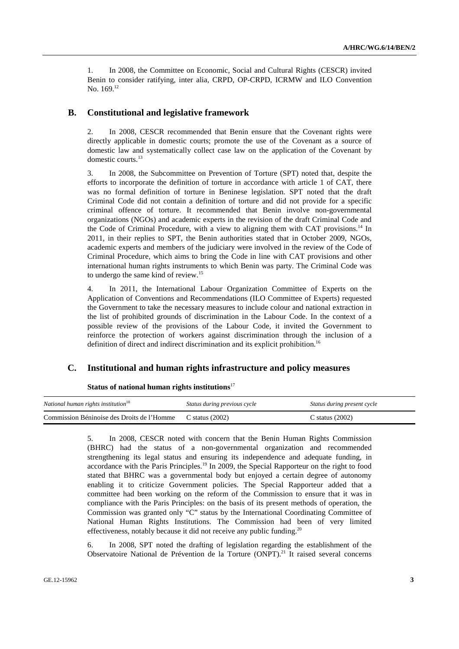1. In 2008, the Committee on Economic, Social and Cultural Rights (CESCR) invited Benin to consider ratifying, inter alia, CRPD, OP-CRPD, ICRMW and ILO Convention No. 169.12

# **B. Constitutional and legislative framework**

2. In 2008, CESCR recommended that Benin ensure that the Covenant rights were directly applicable in domestic courts; promote the use of the Covenant as a source of domestic law and systematically collect case law on the application of the Covenant by domestic courts.13

3. In 2008, the Subcommittee on Prevention of Torture (SPT) noted that, despite the efforts to incorporate the definition of torture in accordance with article 1 of CAT, there was no formal definition of torture in Beninese legislation. SPT noted that the draft Criminal Code did not contain a definition of torture and did not provide for a specific criminal offence of torture. It recommended that Benin involve non-governmental organizations (NGOs) and academic experts in the revision of the draft Criminal Code and the Code of Criminal Procedure, with a view to aligning them with CAT provisions.<sup>14</sup> In 2011, in their replies to SPT, the Benin authorities stated that in October 2009, NGOs, academic experts and members of the judiciary were involved in the review of the Code of Criminal Procedure, which aims to bring the Code in line with CAT provisions and other international human rights instruments to which Benin was party. The Criminal Code was to undergo the same kind of review.<sup>15</sup>

4. In 2011, the International Labour Organization Committee of Experts on the Application of Conventions and Recommendations (ILO Committee of Experts) requested the Government to take the necessary measures to include colour and national extraction in the list of prohibited grounds of discrimination in the Labour Code. In the context of a possible review of the provisions of the Labour Code, it invited the Government to reinforce the protection of workers against discrimination through the inclusion of a definition of direct and indirect discrimination and its explicit prohibition.<sup>16</sup>

## **C. Institutional and human rights infrastructure and policy measures**

| Status of national human rights institutions $17$ |  |
|---------------------------------------------------|--|
|---------------------------------------------------|--|

| National human rights institution <sup>18</sup> | Status during previous cycle | Status during present cycle |
|-------------------------------------------------|------------------------------|-----------------------------|
| Commission Béninoise des Droits de l'Homme      | C status $(2002)$            | C status $(2002)$           |

5. In 2008, CESCR noted with concern that the Benin Human Rights Commission (BHRC) had the status of a non-governmental organization and recommended strengthening its legal status and ensuring its independence and adequate funding, in accordance with the Paris Principles.<sup>19</sup> In 2009, the Special Rapporteur on the right to food stated that BHRC was a governmental body but enjoyed a certain degree of autonomy enabling it to criticize Government policies. The Special Rapporteur added that a committee had been working on the reform of the Commission to ensure that it was in compliance with the Paris Principles: on the basis of its present methods of operation, the Commission was granted only "C" status by the International Coordinating Committee of National Human Rights Institutions. The Commission had been of very limited effectiveness, notably because it did not receive any public funding.<sup>20</sup>

6. In 2008, SPT noted the drafting of legislation regarding the establishment of the Observatoire National de Prévention de la Torture (ONPT).<sup>21</sup> It raised several concerns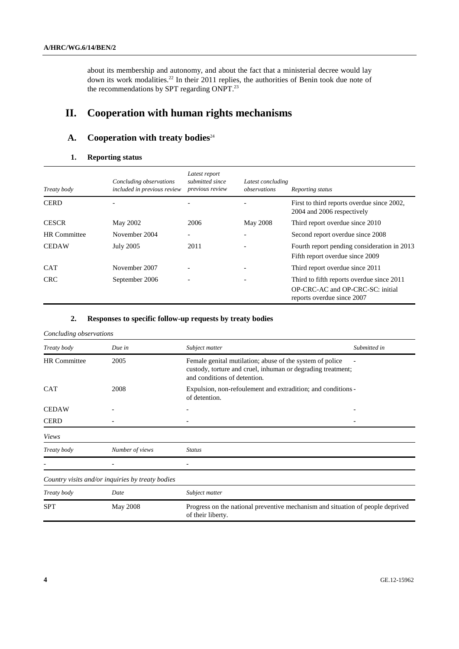about its membership and autonomy, and about the fact that a ministerial decree would lay down its work modalities.<sup>22</sup> In their 2011 replies, the authorities of Benin took due note of the recommendations by SPT regarding ONPT.<sup>23</sup>

# **II. Cooperation with human rights mechanisms**

# **A.** Cooperation with treaty bodies<sup>24</sup>

### **1. Reporting status**

| Treaty body         | Concluding observations<br>included in previous review | Latest report<br>submitted since<br>previous review | Latest concluding<br>observations | Reporting status                                                                                            |
|---------------------|--------------------------------------------------------|-----------------------------------------------------|-----------------------------------|-------------------------------------------------------------------------------------------------------------|
| <b>CERD</b>         |                                                        |                                                     |                                   | First to third reports overdue since 2002,<br>2004 and 2006 respectively                                    |
| <b>CESCR</b>        | May 2002                                               | 2006                                                | May 2008                          | Third report overdue since 2010                                                                             |
| <b>HR</b> Committee | November 2004                                          |                                                     |                                   | Second report overdue since 2008                                                                            |
| <b>CEDAW</b>        | July 2005                                              | 2011                                                |                                   | Fourth report pending consideration in 2013<br>Fifth report overdue since 2009                              |
| <b>CAT</b>          | November 2007                                          |                                                     |                                   | Third report overdue since 2011                                                                             |
| <b>CRC</b>          | September 2006                                         |                                                     |                                   | Third to fifth reports overdue since 2011<br>OP-CRC-AC and OP-CRC-SC: initial<br>reports overdue since 2007 |

### **2. Responses to specific follow-up requests by treaty bodies**

#### *Concluding observations*

| Treaty body         | Due in                                           | Subject matter                                                                                                                                          | Submitted in |
|---------------------|--------------------------------------------------|---------------------------------------------------------------------------------------------------------------------------------------------------------|--------------|
| <b>HR</b> Committee | 2005                                             | Female genital mutilation; abuse of the system of police<br>custody, torture and cruel, inhuman or degrading treatment;<br>and conditions of detention. |              |
| <b>CAT</b>          | 2008                                             | Expulsion, non-refoulement and extradition; and conditions -<br>of detention.                                                                           |              |
| <b>CEDAW</b>        |                                                  |                                                                                                                                                         |              |
| <b>CERD</b>         |                                                  |                                                                                                                                                         |              |
| <b>Views</b>        |                                                  |                                                                                                                                                         |              |
| Treaty body         | Number of views                                  | <b>Status</b>                                                                                                                                           |              |
|                     |                                                  |                                                                                                                                                         |              |
|                     | Country visits and/or inquiries by treaty bodies |                                                                                                                                                         |              |
| Treaty body         | Date                                             | Subject matter                                                                                                                                          |              |
| <b>SPT</b>          | May 2008                                         | Progress on the national preventive mechanism and situation of people deprived<br>of their liberty.                                                     |              |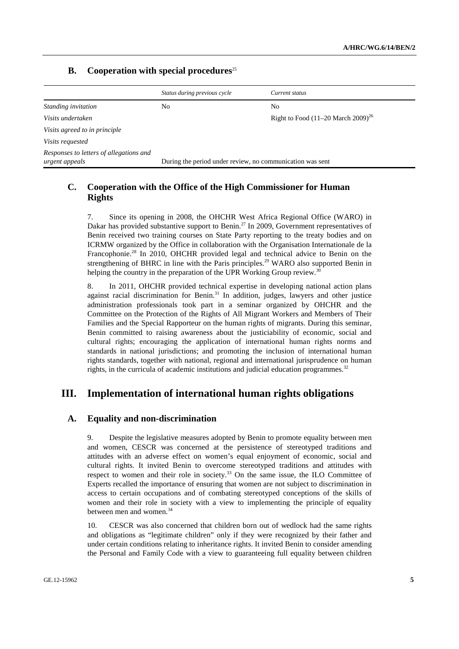# **B.** Cooperation with special procedures<sup>25</sup>

|                                                           | Status during previous cycle                              | Current status                                   |
|-----------------------------------------------------------|-----------------------------------------------------------|--------------------------------------------------|
| Standing invitation                                       | No                                                        | No                                               |
| Visits undertaken                                         |                                                           | Right to Food $(11–20 \text{ March } 2009)^{26}$ |
| Visits agreed to in principle                             |                                                           |                                                  |
| Visits requested                                          |                                                           |                                                  |
| Responses to letters of allegations and<br>urgent appeals | During the period under review, no communication was sent |                                                  |

# **C. Cooperation with the Office of the High Commissioner for Human Rights**

7. Since its opening in 2008, the OHCHR West Africa Regional Office (WARO) in Dakar has provided substantive support to Benin.<sup>27</sup> In 2009, Government representatives of Benin received two training courses on State Party reporting to the treaty bodies and on ICRMW organized by the Office in collaboration with the Organisation Internationale de la Francophonie.<sup>28</sup> In 2010, OHCHR provided legal and technical advice to Benin on the strengthening of BHRC in line with the Paris principles.<sup>29</sup> WARO also supported Benin in helping the country in the preparation of the UPR Working Group review.<sup>3</sup>

8. In 2011, OHCHR provided technical expertise in developing national action plans against racial discrimination for Benin.<sup>31</sup> In addition, judges, lawyers and other justice administration professionals took part in a seminar organized by OHCHR and the Committee on the Protection of the Rights of All Migrant Workers and Members of Their Families and the Special Rapporteur on the human rights of migrants. During this seminar, Benin committed to raising awareness about the justiciability of economic, social and cultural rights; encouraging the application of international human rights norms and standards in national jurisdictions; and promoting the inclusion of international human rights standards, together with national, regional and international jurisprudence on human rights, in the curricula of academic institutions and judicial education programmes. $32$ 

# **III. Implementation of international human rights obligations**

# **A. Equality and non-discrimination**

9. Despite the legislative measures adopted by Benin to promote equality between men and women, CESCR was concerned at the persistence of stereotyped traditions and attitudes with an adverse effect on women's equal enjoyment of economic, social and cultural rights. It invited Benin to overcome stereotyped traditions and attitudes with respect to women and their role in society.<sup>33</sup> On the same issue, the ILO Committee of Experts recalled the importance of ensuring that women are not subject to discrimination in access to certain occupations and of combating stereotyped conceptions of the skills of women and their role in society with a view to implementing the principle of equality between men and women.<sup>34</sup>

10. CESCR was also concerned that children born out of wedlock had the same rights and obligations as "legitimate children" only if they were recognized by their father and under certain conditions relating to inheritance rights. It invited Benin to consider amending the Personal and Family Code with a view to guaranteeing full equality between children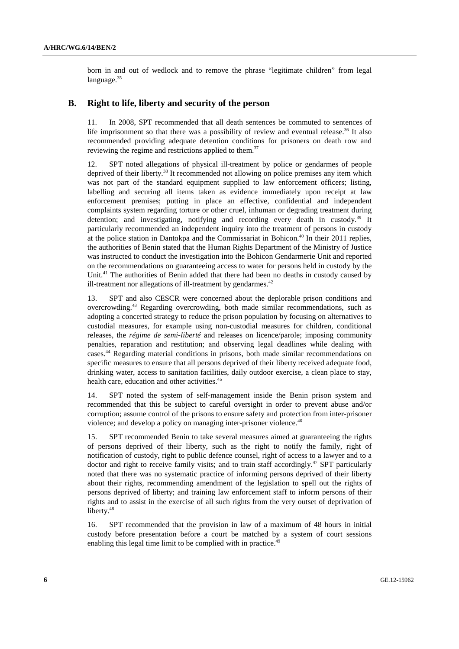born in and out of wedlock and to remove the phrase "legitimate children" from legal language.<sup>35</sup>

#### **B. Right to life, liberty and security of the person**

11. In 2008, SPT recommended that all death sentences be commuted to sentences of life imprisonment so that there was a possibility of review and eventual release.<sup>36</sup> It also recommended providing adequate detention conditions for prisoners on death row and reviewing the regime and restrictions applied to them.<sup>37</sup>

12. SPT noted allegations of physical ill-treatment by police or gendarmes of people deprived of their liberty.<sup>38</sup> It recommended not allowing on police premises any item which was not part of the standard equipment supplied to law enforcement officers; listing, labelling and securing all items taken as evidence immediately upon receipt at law enforcement premises; putting in place an effective, confidential and independent complaints system regarding torture or other cruel, inhuman or degrading treatment during detention; and investigating, notifying and recording every death in custody.<sup>39</sup> It particularly recommended an independent inquiry into the treatment of persons in custody at the police station in Dantokpa and the Commissariat in Bohicon.<sup>40</sup> In their 2011 replies, the authorities of Benin stated that the Human Rights Department of the Ministry of Justice was instructed to conduct the investigation into the Bohicon Gendarmerie Unit and reported on the recommendations on guaranteeing access to water for persons held in custody by the Unit.<sup>41</sup> The authorities of Benin added that there had been no deaths in custody caused by ill-treatment nor allegations of ill-treatment by gendarmes.<sup>42</sup>

13. SPT and also CESCR were concerned about the deplorable prison conditions and overcrowding.43 Regarding overcrowding, both made similar recommendations, such as adopting a concerted strategy to reduce the prison population by focusing on alternatives to custodial measures, for example using non-custodial measures for children, conditional releases, the *régime de semi-liberté* and releases on licence/parole; imposing community penalties, reparation and restitution; and observing legal deadlines while dealing with cases.44 Regarding material conditions in prisons, both made similar recommendations on specific measures to ensure that all persons deprived of their liberty received adequate food, drinking water, access to sanitation facilities, daily outdoor exercise, a clean place to stay, health care, education and other activities.<sup>45</sup>

14. SPT noted the system of self-management inside the Benin prison system and recommended that this be subject to careful oversight in order to prevent abuse and/or corruption; assume control of the prisons to ensure safety and protection from inter-prisoner violence; and develop a policy on managing inter-prisoner violence.<sup>46</sup>

15. SPT recommended Benin to take several measures aimed at guaranteeing the rights of persons deprived of their liberty, such as the right to notify the family, right of notification of custody, right to public defence counsel, right of access to a lawyer and to a doctor and right to receive family visits; and to train staff accordingly.<sup>47</sup> SPT particularly noted that there was no systematic practice of informing persons deprived of their liberty about their rights, recommending amendment of the legislation to spell out the rights of persons deprived of liberty; and training law enforcement staff to inform persons of their rights and to assist in the exercise of all such rights from the very outset of deprivation of liberty.<sup>48</sup>

16. SPT recommended that the provision in law of a maximum of 48 hours in initial custody before presentation before a court be matched by a system of court sessions enabling this legal time limit to be complied with in practice.<sup>49</sup>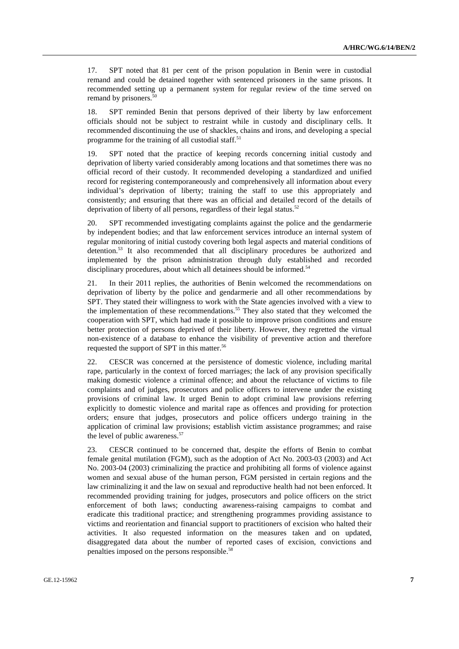17. SPT noted that 81 per cent of the prison population in Benin were in custodial remand and could be detained together with sentenced prisoners in the same prisons. It recommended setting up a permanent system for regular review of the time served on remand by prisoners.<sup>50</sup>

18. SPT reminded Benin that persons deprived of their liberty by law enforcement officials should not be subject to restraint while in custody and disciplinary cells. It recommended discontinuing the use of shackles, chains and irons, and developing a special programme for the training of all custodial staff.<sup>51</sup>

19. SPT noted that the practice of keeping records concerning initial custody and deprivation of liberty varied considerably among locations and that sometimes there was no official record of their custody. It recommended developing a standardized and unified record for registering contemporaneously and comprehensively all information about every individual's deprivation of liberty; training the staff to use this appropriately and consistently; and ensuring that there was an official and detailed record of the details of deprivation of liberty of all persons, regardless of their legal status.<sup>52</sup>

20. SPT recommended investigating complaints against the police and the gendarmerie by independent bodies; and that law enforcement services introduce an internal system of regular monitoring of initial custody covering both legal aspects and material conditions of detention.<sup>53</sup> It also recommended that all disciplinary procedures be authorized and implemented by the prison administration through duly established and recorded disciplinary procedures, about which all detainees should be informed.<sup>54</sup>

21. In their 2011 replies, the authorities of Benin welcomed the recommendations on deprivation of liberty by the police and gendarmerie and all other recommendations by SPT. They stated their willingness to work with the State agencies involved with a view to the implementation of these recommendations.55 They also stated that they welcomed the cooperation with SPT, which had made it possible to improve prison conditions and ensure better protection of persons deprived of their liberty. However, they regretted the virtual non-existence of a database to enhance the visibility of preventive action and therefore requested the support of SPT in this matter.56

22. CESCR was concerned at the persistence of domestic violence, including marital rape, particularly in the context of forced marriages; the lack of any provision specifically making domestic violence a criminal offence; and about the reluctance of victims to file complaints and of judges, prosecutors and police officers to intervene under the existing provisions of criminal law. It urged Benin to adopt criminal law provisions referring explicitly to domestic violence and marital rape as offences and providing for protection orders; ensure that judges, prosecutors and police officers undergo training in the application of criminal law provisions; establish victim assistance programmes; and raise the level of public awareness.<sup>57</sup>

23. CESCR continued to be concerned that, despite the efforts of Benin to combat female genital mutilation (FGM), such as the adoption of Act No. 2003-03 (2003) and Act No. 2003-04 (2003) criminalizing the practice and prohibiting all forms of violence against women and sexual abuse of the human person, FGM persisted in certain regions and the law criminalizing it and the law on sexual and reproductive health had not been enforced. It recommended providing training for judges, prosecutors and police officers on the strict enforcement of both laws; conducting awareness-raising campaigns to combat and eradicate this traditional practice; and strengthening programmes providing assistance to victims and reorientation and financial support to practitioners of excision who halted their activities. It also requested information on the measures taken and on updated, disaggregated data about the number of reported cases of excision, convictions and penalties imposed on the persons responsible.<sup>58</sup>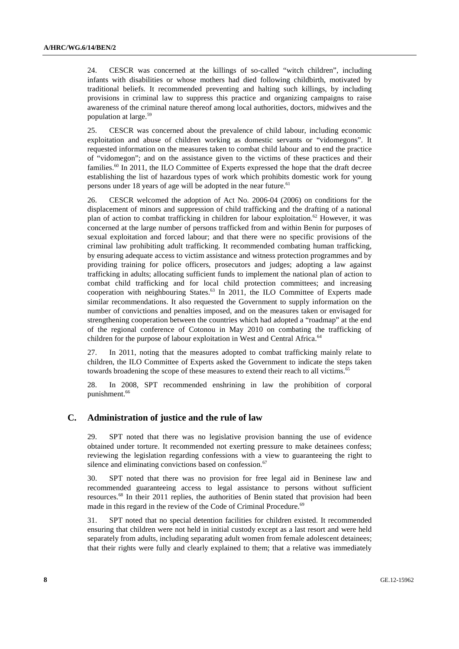24. CESCR was concerned at the killings of so-called "witch children", including infants with disabilities or whose mothers had died following childbirth, motivated by traditional beliefs. It recommended preventing and halting such killings, by including provisions in criminal law to suppress this practice and organizing campaigns to raise awareness of the criminal nature thereof among local authorities, doctors, midwives and the population at large.59

25. CESCR was concerned about the prevalence of child labour, including economic exploitation and abuse of children working as domestic servants or "vidomegons". It requested information on the measures taken to combat child labour and to end the practice of "vidomegon"; and on the assistance given to the victims of these practices and their families.<sup>60</sup> In 2011, the ILO Committee of Experts expressed the hope that the draft decree establishing the list of hazardous types of work which prohibits domestic work for young persons under 18 years of age will be adopted in the near future.<sup>61</sup>

26. CESCR welcomed the adoption of Act No. 2006-04 (2006) on conditions for the displacement of minors and suppression of child trafficking and the drafting of a national plan of action to combat trafficking in children for labour exploitation.<sup>62</sup> However, it was concerned at the large number of persons trafficked from and within Benin for purposes of sexual exploitation and forced labour; and that there were no specific provisions of the criminal law prohibiting adult trafficking. It recommended combating human trafficking, by ensuring adequate access to victim assistance and witness protection programmes and by providing training for police officers, prosecutors and judges; adopting a law against trafficking in adults; allocating sufficient funds to implement the national plan of action to combat child trafficking and for local child protection committees; and increasing cooperation with neighbouring States. $63$  In 2011, the ILO Committee of Experts made similar recommendations. It also requested the Government to supply information on the number of convictions and penalties imposed, and on the measures taken or envisaged for strengthening cooperation between the countries which had adopted a "roadmap" at the end of the regional conference of Cotonou in May 2010 on combating the trafficking of children for the purpose of labour exploitation in West and Central Africa.<sup>64</sup>

27. In 2011, noting that the measures adopted to combat trafficking mainly relate to children, the ILO Committee of Experts asked the Government to indicate the steps taken towards broadening the scope of these measures to extend their reach to all victims.<sup>65</sup>

28. In 2008, SPT recommended enshrining in law the prohibition of corporal punishment.<sup>66</sup>

# **C. Administration of justice and the rule of law**

29. SPT noted that there was no legislative provision banning the use of evidence obtained under torture. It recommended not exerting pressure to make detainees confess; reviewing the legislation regarding confessions with a view to guaranteeing the right to silence and eliminating convictions based on confession. $67$ 

30. SPT noted that there was no provision for free legal aid in Beninese law and recommended guaranteeing access to legal assistance to persons without sufficient resources.<sup>68</sup> In their 2011 replies, the authorities of Benin stated that provision had been made in this regard in the review of the Code of Criminal Procedure.<sup>69</sup>

31. SPT noted that no special detention facilities for children existed. It recommended ensuring that children were not held in initial custody except as a last resort and were held separately from adults, including separating adult women from female adolescent detainees; that their rights were fully and clearly explained to them; that a relative was immediately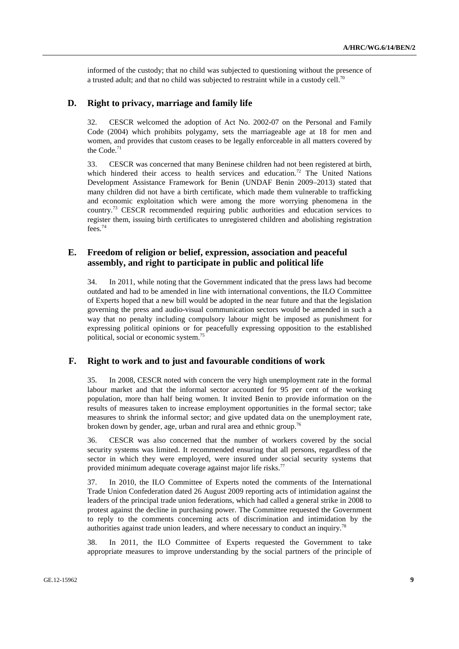informed of the custody; that no child was subjected to questioning without the presence of a trusted adult; and that no child was subjected to restraint while in a custody cell.<sup>70</sup>

#### **D. Right to privacy, marriage and family life**

32. CESCR welcomed the adoption of Act No. 2002-07 on the Personal and Family Code (2004) which prohibits polygamy, sets the marriageable age at 18 for men and women, and provides that custom ceases to be legally enforceable in all matters covered by the Code.<sup>71</sup>

33. CESCR was concerned that many Beninese children had not been registered at birth, which hindered their access to health services and education.<sup>72</sup> The United Nations Development Assistance Framework for Benin (UNDAF Benin 2009–2013) stated that many children did not have a birth certificate, which made them vulnerable to trafficking and economic exploitation which were among the more worrying phenomena in the country.73 CESCR recommended requiring public authorities and education services to register them, issuing birth certificates to unregistered children and abolishing registration fees.74

# **E. Freedom of religion or belief, expression, association and peaceful assembly, and right to participate in public and political life**

34. In 2011, while noting that the Government indicated that the press laws had become outdated and had to be amended in line with international conventions, the ILO Committee of Experts hoped that a new bill would be adopted in the near future and that the legislation governing the press and audio-visual communication sectors would be amended in such a way that no penalty including compulsory labour might be imposed as punishment for expressing political opinions or for peacefully expressing opposition to the established political, social or economic system.75

## **F. Right to work and to just and favourable conditions of work**

35. In 2008, CESCR noted with concern the very high unemployment rate in the formal labour market and that the informal sector accounted for 95 per cent of the working population, more than half being women. It invited Benin to provide information on the results of measures taken to increase employment opportunities in the formal sector; take measures to shrink the informal sector; and give updated data on the unemployment rate, broken down by gender, age, urban and rural area and ethnic group.<sup>76</sup>

36. CESCR was also concerned that the number of workers covered by the social security systems was limited. It recommended ensuring that all persons, regardless of the sector in which they were employed, were insured under social security systems that provided minimum adequate coverage against major life risks. $77$ 

37. In 2010, the ILO Committee of Experts noted the comments of the International Trade Union Confederation dated 26 August 2009 reporting acts of intimidation against the leaders of the principal trade union federations, which had called a general strike in 2008 to protest against the decline in purchasing power. The Committee requested the Government to reply to the comments concerning acts of discrimination and intimidation by the authorities against trade union leaders, and where necessary to conduct an inquiry.78

38. In 2011, the ILO Committee of Experts requested the Government to take appropriate measures to improve understanding by the social partners of the principle of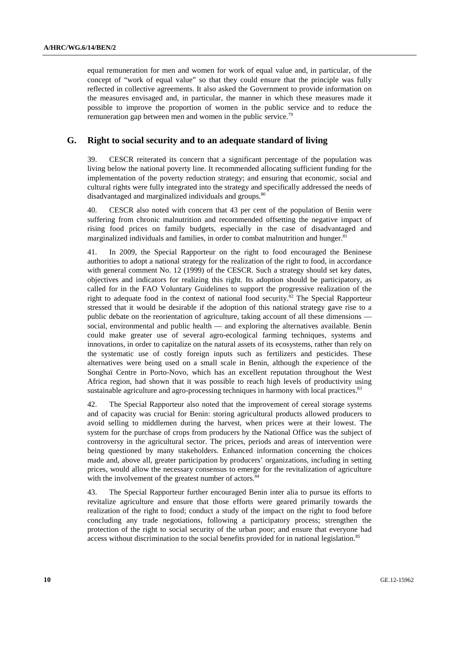equal remuneration for men and women for work of equal value and, in particular, of the concept of "work of equal value" so that they could ensure that the principle was fully reflected in collective agreements. It also asked the Government to provide information on the measures envisaged and, in particular, the manner in which these measures made it possible to improve the proportion of women in the public service and to reduce the remuneration gap between men and women in the public service.<sup>79</sup>

### **G. Right to social security and to an adequate standard of living**

39. CESCR reiterated its concern that a significant percentage of the population was living below the national poverty line. It recommended allocating sufficient funding for the implementation of the poverty reduction strategy; and ensuring that economic, social and cultural rights were fully integrated into the strategy and specifically addressed the needs of disadvantaged and marginalized individuals and groups.<sup>80</sup>

40. CESCR also noted with concern that 43 per cent of the population of Benin were suffering from chronic malnutrition and recommended offsetting the negative impact of rising food prices on family budgets, especially in the case of disadvantaged and marginalized individuals and families, in order to combat malnutrition and hunger.<sup>81</sup>

41. In 2009, the Special Rapporteur on the right to food encouraged the Beninese authorities to adopt a national strategy for the realization of the right to food, in accordance with general comment No. 12 (1999) of the CESCR. Such a strategy should set key dates, objectives and indicators for realizing this right. Its adoption should be participatory, as called for in the FAO Voluntary Guidelines to support the progressive realization of the right to adequate food in the context of national food security.<sup>82</sup> The Special Rapporteur stressed that it would be desirable if the adoption of this national strategy gave rise to a public debate on the reorientation of agriculture, taking account of all these dimensions social, environmental and public health — and exploring the alternatives available. Benin could make greater use of several agro-ecological farming techniques, systems and innovations, in order to capitalize on the natural assets of its ecosystems, rather than rely on the systematic use of costly foreign inputs such as fertilizers and pesticides. These alternatives were being used on a small scale in Benin, although the experience of the Songhaï Centre in Porto-Novo, which has an excellent reputation throughout the West Africa region, had shown that it was possible to reach high levels of productivity using sustainable agriculture and agro-processing techniques in harmony with local practices.<sup>83</sup>

42. The Special Rapporteur also noted that the improvement of cereal storage systems and of capacity was crucial for Benin: storing agricultural products allowed producers to avoid selling to middlemen during the harvest, when prices were at their lowest. The system for the purchase of crops from producers by the National Office was the subject of controversy in the agricultural sector. The prices, periods and areas of intervention were being questioned by many stakeholders. Enhanced information concerning the choices made and, above all, greater participation by producers' organizations, including in setting prices, would allow the necessary consensus to emerge for the revitalization of agriculture with the involvement of the greatest number of actors.<sup>84</sup>

43. The Special Rapporteur further encouraged Benin inter alia to pursue its efforts to revitalize agriculture and ensure that those efforts were geared primarily towards the realization of the right to food; conduct a study of the impact on the right to food before concluding any trade negotiations, following a participatory process; strengthen the protection of the right to social security of the urban poor; and ensure that everyone had access without discrimination to the social benefits provided for in national legislation.<sup>85</sup>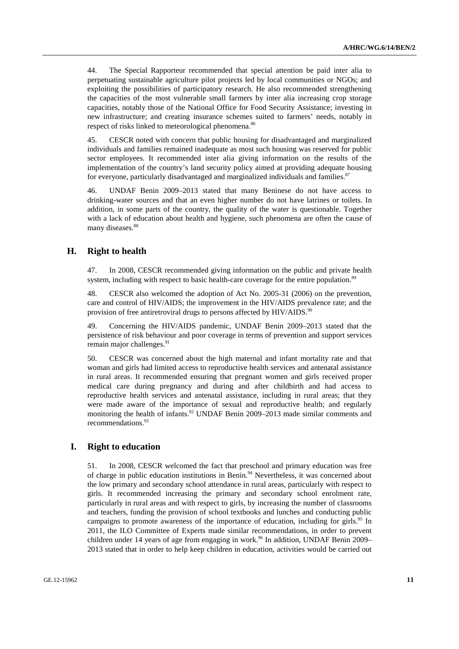44. The Special Rapporteur recommended that special attention be paid inter alia to perpetuating sustainable agriculture pilot projects led by local communities or NGOs; and exploiting the possibilities of participatory research. He also recommended strengthening the capacities of the most vulnerable small farmers by inter alia increasing crop storage capacities, notably those of the National Office for Food Security Assistance; investing in new infrastructure; and creating insurance schemes suited to farmers' needs, notably in respect of risks linked to meteorological phenomena.<sup>86</sup>

45. CESCR noted with concern that public housing for disadvantaged and marginalized individuals and families remained inadequate as most such housing was reserved for public sector employees. It recommended inter alia giving information on the results of the implementation of the country's land security policy aimed at providing adequate housing for everyone, particularly disadvantaged and marginalized individuals and families.<sup>87</sup>

46. UNDAF Benin 2009–2013 stated that many Beninese do not have access to drinking-water sources and that an even higher number do not have latrines or toilets. In addition, in some parts of the country, the quality of the water is questionable. Together with a lack of education about health and hygiene, such phenomena are often the cause of many diseases.<sup>88</sup>

## **H. Right to health**

47. In 2008, CESCR recommended giving information on the public and private health system, including with respect to basic health-care coverage for the entire population.<sup>89</sup>

48. CESCR also welcomed the adoption of Act No. 2005-31 (2006) on the prevention, care and control of HIV/AIDS; the improvement in the HIV/AIDS prevalence rate; and the provision of free antiretroviral drugs to persons affected by HIV/AIDS.<sup>90</sup>

49. Concerning the HIV/AIDS pandemic, UNDAF Benin 2009–2013 stated that the persistence of risk behaviour and poor coverage in terms of prevention and support services remain major challenges.<sup>91</sup>

50. CESCR was concerned about the high maternal and infant mortality rate and that woman and girls had limited access to reproductive health services and antenatal assistance in rural areas. It recommended ensuring that pregnant women and girls received proper medical care during pregnancy and during and after childbirth and had access to reproductive health services and antenatal assistance, including in rural areas; that they were made aware of the importance of sexual and reproductive health; and regularly monitoring the health of infants.<sup>92</sup> UNDAF Benin 2009–2013 made similar comments and recommendations.<sup>93</sup>

### **I. Right to education**

51. In 2008, CESCR welcomed the fact that preschool and primary education was free of charge in public education institutions in Benin.<sup>94</sup> Nevertheless, it was concerned about the low primary and secondary school attendance in rural areas, particularly with respect to girls. It recommended increasing the primary and secondary school enrolment rate, particularly in rural areas and with respect to girls, by increasing the number of classrooms and teachers, funding the provision of school textbooks and lunches and conducting public campaigns to promote awareness of the importance of education, including for girls.<sup>95</sup> In 2011, the ILO Committee of Experts made similar recommendations, in order to prevent children under 14 years of age from engaging in work.<sup>96</sup> In addition, UNDAF Benin 2009– 2013 stated that in order to help keep children in education, activities would be carried out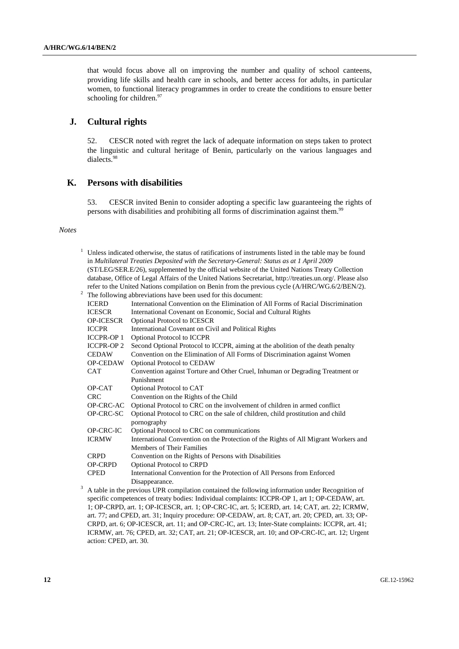that would focus above all on improving the number and quality of school canteens, providing life skills and health care in schools, and better access for adults, in particular women, to functional literacy programmes in order to create the conditions to ensure better schooling for children.<sup>97</sup>

# **J. Cultural rights**

52. CESCR noted with regret the lack of adequate information on steps taken to protect the linguistic and cultural heritage of Benin, particularly on the various languages and dialects.98

# **K. Persons with disabilities**

53. CESCR invited Benin to consider adopting a specific law guaranteeing the rights of persons with disabilities and prohibiting all forms of discrimination against them.99

#### *Notes*

1

|                                                                                                           | Unless indicated otherwise, the status of ratifications of instruments listed in the table may be found<br>in Multilateral Treaties Deposited with the Secretary-General: Status as at 1 April 2009 |                                                                                                  |  |
|-----------------------------------------------------------------------------------------------------------|-----------------------------------------------------------------------------------------------------------------------------------------------------------------------------------------------------|--------------------------------------------------------------------------------------------------|--|
| (ST/LEG/SER.E/26), supplemented by the official website of the United Nations Treaty Collection           |                                                                                                                                                                                                     |                                                                                                  |  |
| database, Office of Legal Affairs of the United Nations Secretariat, http://treaties.un.org/. Please also |                                                                                                                                                                                                     |                                                                                                  |  |
|                                                                                                           |                                                                                                                                                                                                     | refer to the United Nations compilation on Benin from the previous cycle (A/HRC/WG.6/2/BEN/2).   |  |
| $\overline{\mathbf{c}}$<br>The following abbreviations have been used for this document:                  |                                                                                                                                                                                                     |                                                                                                  |  |
|                                                                                                           | <b>ICERD</b>                                                                                                                                                                                        | International Convention on the Elimination of All Forms of Racial Discrimination                |  |
|                                                                                                           | <b>ICESCR</b>                                                                                                                                                                                       | International Covenant on Economic, Social and Cultural Rights                                   |  |
|                                                                                                           | <b>OP-ICESCR</b>                                                                                                                                                                                    | Optional Protocol to ICESCR                                                                      |  |
|                                                                                                           | <b>ICCPR</b>                                                                                                                                                                                        | International Covenant on Civil and Political Rights                                             |  |
|                                                                                                           | <b>ICCPR-OP 1</b>                                                                                                                                                                                   | Optional Protocol to ICCPR                                                                       |  |
|                                                                                                           | <b>ICCPR-OP 2</b>                                                                                                                                                                                   | Second Optional Protocol to ICCPR, aiming at the abolition of the death penalty                  |  |
|                                                                                                           | <b>CEDAW</b>                                                                                                                                                                                        | Convention on the Elimination of All Forms of Discrimination against Women                       |  |
|                                                                                                           | <b>OP-CEDAW</b>                                                                                                                                                                                     | <b>Optional Protocol to CEDAW</b>                                                                |  |
|                                                                                                           | <b>CAT</b>                                                                                                                                                                                          | Convention against Torture and Other Cruel, Inhuman or Degrading Treatment or                    |  |
|                                                                                                           |                                                                                                                                                                                                     | Punishment                                                                                       |  |
|                                                                                                           | OP-CAT                                                                                                                                                                                              | Optional Protocol to CAT                                                                         |  |
|                                                                                                           | <b>CRC</b>                                                                                                                                                                                          | Convention on the Rights of the Child                                                            |  |
|                                                                                                           | OP-CRC-AC                                                                                                                                                                                           | Optional Protocol to CRC on the involvement of children in armed conflict                        |  |
|                                                                                                           | OP-CRC-SC                                                                                                                                                                                           | Optional Protocol to CRC on the sale of children, child prostitution and child                   |  |
|                                                                                                           |                                                                                                                                                                                                     | pornography                                                                                      |  |
|                                                                                                           | OP-CRC-IC                                                                                                                                                                                           | Optional Protocol to CRC on communications                                                       |  |
|                                                                                                           | <b>ICRMW</b>                                                                                                                                                                                        | International Convention on the Protection of the Rights of All Migrant Workers and              |  |
|                                                                                                           |                                                                                                                                                                                                     | Members of Their Families                                                                        |  |
|                                                                                                           | <b>CRPD</b>                                                                                                                                                                                         | Convention on the Rights of Persons with Disabilities                                            |  |
|                                                                                                           | <b>OP-CRPD</b>                                                                                                                                                                                      | <b>Optional Protocol to CRPD</b>                                                                 |  |
|                                                                                                           | <b>CPED</b>                                                                                                                                                                                         | International Convention for the Protection of All Persons from Enforced                         |  |
|                                                                                                           |                                                                                                                                                                                                     | Disappearance.                                                                                   |  |
| 3                                                                                                         |                                                                                                                                                                                                     | A table in the previous UPR compilation contained the following information under Recognition of |  |
|                                                                                                           |                                                                                                                                                                                                     | specific competences of treaty bodies: Individual complaints: ICCPR-OP 1, art 1; OP-CEDAW, art.  |  |
|                                                                                                           | 1. OP-CRPD art 1: OP-ICESCR art 1: OP-CRC-IC art 5: ICERD art $14$ : CAT art 22: ICRMW                                                                                                              |                                                                                                  |  |

1; OP-CRPD, art. 1; OP-ICESCR, art. 1; OP-CRC-IC, art. 5; ICERD, art. 14; CAT, art. 22; ICRMW, art. 77; and CPED, art. 31; Inquiry procedure: OP-CEDAW, art. 8; CAT, art. 20; CPED, art. 33; OP-CRPD, art. 6; OP-ICESCR, art. 11; and OP-CRC-IC, art. 13; Inter-State complaints: ICCPR, art. 41; ICRMW, art. 76; CPED, art. 32; CAT, art. 21; OP-ICESCR, art. 10; and OP-CRC-IC, art. 12; Urgent action: CPED, art. 30.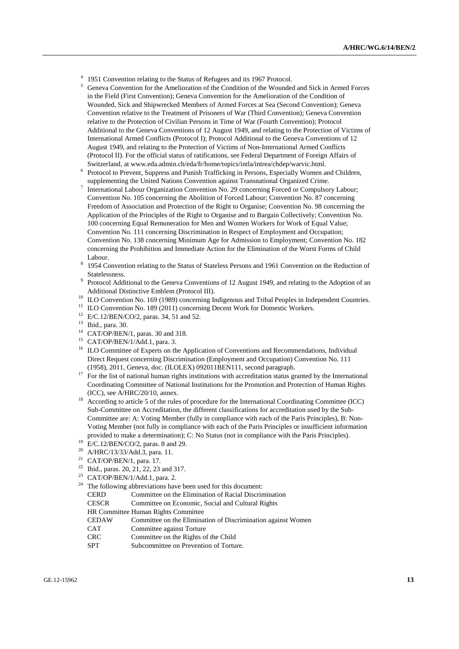- <sup>4</sup> 1951 Convention relating to the Status of Refugees and its 1967 Protocol.
- 5 Geneva Convention for the Amelioration of the Condition of the Wounded and Sick in Armed Forces in the Field (First Convention); Geneva Convention for the Amelioration of the Condition of Wounded, Sick and Shipwrecked Members of Armed Forces at Sea (Second Convention); Geneva Convention relative to the Treatment of Prisoners of War (Third Convention); Geneva Convention relative to the Protection of Civilian Persons in Time of War (Fourth Convention); Protocol Additional to the Geneva Conventions of 12 August 1949, and relating to the Protection of Victims of International Armed Conflicts (Protocol I); Protocol Additional to the Geneva Conventions of 12 August 1949, and relating to the Protection of Victims of Non-International Armed Conflicts (Protocol II). For the official status of ratifications, see Federal Department of Foreign Affairs of Switzerland, at www.eda.admin.ch/eda/fr/home/topics/intla/intrea/chdep/warvic.html. 6
- Protocol to Prevent, Suppress and Punish Trafficking in Persons, Especially Women and Children, supplementing the United Nations Convention against Transnational Organized Crime.
- <sup>7</sup> International Labour Organization Convention No. 29 concerning Forced or Compulsory Labour; Convention No. 105 concerning the Abolition of Forced Labour; Convention No. 87 concerning Freedom of Association and Protection of the Right to Organise; Convention No. 98 concerning the Application of the Principles of the Right to Organise and to Bargain Collectively; Convention No. 100 concerning Equal Remuneration for Men and Women Workers for Work of Equal Value; Convention No. 111 concerning Discrimination in Respect of Employment and Occupation; Convention No. 138 concerning Minimum Age for Admission to Employment; Convention No. 182 concerning the Prohibition and Immediate Action for the Elimination of the Worst Forms of Child Labour.
- 1954 Convention relating to the Status of Stateless Persons and 1961 Convention on the Reduction of Statelessness.
- Protocol Additional to the Geneva Conventions of 12 August 1949, and relating to the Adoption of an Additional Distinctive Emblem (Protocol III). 10 ILO Convention No. 169 (1989) concerning Indigenous and Tribal Peoples in Independent Countries.
- 
- <sup>11</sup> ILO Convention No. 189 (2011) concerning Decent Work for Domestic Workers.
- <sup>12</sup> E/C.12/BEN/CO/2, paras. 34, 51 and 52.
- Ibid., para. 30.
- $^{14}$  CAT/OP/BEN/1, paras. 30 and 318.
- <sup>15</sup> CAT/OP/BEN/1/Add.1, para. 3.
- <sup>16</sup> ILO Committee of Experts on the Application of Conventions and Recommendations, Individual Direct Request concerning Discrimination (Employment and Occupation) Convention No. 111
- (1958), 2011, Geneva, doc. (ILOLEX) 092011BEN111, second paragraph.  $17$  For the list of national human rights institutions with accreditation status granted by the International Coordinating Committee of National Institutions for the Promotion and Protection of Human Rights
- (ICC), see A/HRC/20/10, annex. 18 According to article 5 of the rules of procedure for the International Coordinating Committee (ICC) Sub-Committee on Accreditation, the different classifications for accreditation used by the Sub-Committee are: A: Voting Member (fully in compliance with each of the Paris Principles), B: Non-Voting Member (not fully in compliance with each of the Paris Principles or insufficient information provided to make a determination); C: No Status (not in compliance with the Paris Principles).<br>
<sup>19</sup> E/C.12/BEN/CO/2, paras. 8 and 29.<br>
<sup>20</sup> A JIDC/12/22/Add 2, paras. 11.
- 
- A/HRC/13/33/Add.3, para. 11.
- 21 CAT/OP/BEN/1, para. 17.
- <sup>22</sup> Ibid., paras. 20, 21, 22, 23 and 317.<br><sup>23</sup> CAT/OP/PEN/1/Add 1, para.
- <sup>23</sup> CAT/OP/BEN/1/Add.1, para. 2.<br><sup>24</sup> The following abbreviations have
- The following abbreviations have been used for this document:
	- CERD Committee on the Elimination of Racial Discrimination
	- CESCR Committee on Economic, Social and Cultural Rights
	- HR Committee Human Rights Committee
	- CEDAW Committee on the Elimination of Discrimination against Women
	- CAT Committee against Torture
	- CRC Committee on the Rights of the Child
	- SPT Subcommittee on Prevention of Torture.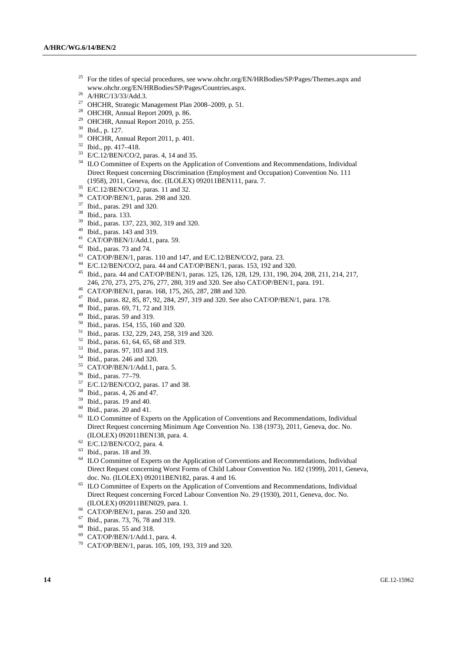- 25 For the titles of special procedures, see www.ohchr.org/EN/HRBodies/SP/Pages/Themes.aspx and www.ohchr.org/EN/HRBodies/SP/Pages/Countries.aspx. 26 A/HRC/13/33/Add.3.
- 
- 27 OHCHR, Strategic Management Plan 2008–2009, p. 51.
- 28 OHCHR, Annual Report 2009, p. 86.
- <sup>29</sup> OHCHR, Annual Report 2010, p. 255.
- 30 Ibid., p. 127.
- $31$  OHCHR, Annual Report 2011, p. 401.
- 32 Ibid., pp. 417–418.
- $^{33}$  E/C.12/BEN/CO/2, paras. 4, 14 and 35.
- <sup>34</sup> ILO Committee of Experts on the Application of Conventions and Recommendations, Individual Direct Request concerning Discrimination (Employment and Occupation) Convention No. 111 (1958), 2011, Geneva, doc. (ILOLEX) 092011BEN111, para. 7. 35 E/C.12/BEN/CO/2, paras. 11 and 32.
- 
- 36 CAT/OP/BEN/1, paras. 298 and 320.
- 37 Ibid., paras. 291 and 320.
- 38 Ibid., para. 133.
- 39 Ibid., paras. 137, 223, 302, 319 and 320.
- 40 Ibid., paras. 143 and 319.
- 41 CAT/OP/BEN/1/Add.1, para. 59.
- $42$  Ibid., paras. 73 and 74.
- 43 CAT/OP/BEN/1, paras. 110 and 147, and E/C.12/BEN/CO/2, para. 23.
- 44 E/C.12/BEN/CO/2, para. 44 and CAT/OP/BEN/1, paras. 153, 192 and 320.
- 45 Ibid., para. 44 and CAT/OP/BEN/1, paras. 125, 126, 128, 129, 131, 190, 204, 208, 211, 214, 217, 246, 270, 273, 275, 276, 277, 280, 319 and 320. See also CAT/OP/BEN/1, para. 191.
- <sup>46</sup> CAT/OP/BEN/1, paras. 168, 175, 265, 287, 288 and 320.
- 47 Ibid., paras. 82, 85, 87, 92, 284, 297, 319 and 320. See also CAT/OP/BEN/1, para. 178.
- 48 Ibid., paras. 69, 71, 72 and 319.
- $^{49}$  Ibid., paras. 59 and 319.
- 50 Ibid., paras. 154, 155, 160 and 320.
- 51 Ibid., paras. 132, 229, 243, 258, 319 and 320.
- 52 Ibid., paras. 61, 64, 65, 68 and 319.
- 53 Ibid., paras. 97, 103 and 319.
- 54 Ibid., paras. 246 and 320.
- 55 CAT/OP/BEN/1/Add.1, para. 5.
- 56 Ibid., paras. 77–79.
- 57 E/C.12/BEN/CO/2, paras. 17 and 38.
- 58 Ibid., paras. 4, 26 and 47.
- 59 Ibid., paras. 19 and 40.
- $60$  Ibid., paras. 20 and 41.
- <sup>61</sup> ILO Committee of Experts on the Application of Conventions and Recommendations, Individual Direct Request concerning Minimum Age Convention No. 138 (1973), 2011, Geneva, doc. No. (ILOLEX) 092011BEN138, para. 4. 62 E/C.12/BEN/CO/2, para. 4.
- 
- 63 Ibid., paras. 18 and 39.
- <sup>64</sup> ILO Committee of Experts on the Application of Conventions and Recommendations, Individual Direct Request concerning Worst Forms of Child Labour Convention No. 182 (1999), 2011, Geneva,
- doc. No. (ILOLEX) 092011BEN182, paras. 4 and 16.<br><sup>65</sup> ILO Committee of Experts on the Application of Conventions and Recommendations, Individual Direct Request concerning Forced Labour Convention No. 29 (1930), 2011, Geneva, doc. No. (ILOLEX) 092011BEN029, para. 1. 66 CAT/OP/BEN/1, paras. 250 and 320.
- 
- $^{67}$  Ibid., paras. 73, 76, 78 and 319.
- <sup>68</sup> Ibid., paras. 55 and 318.<br><sup>69</sup> CAT/OP/BEN/1/Add 1
- CAT/OP/BEN/1/Add.1, para. 4.
- 70 CAT/OP/BEN/1, paras. 105, 109, 193, 319 and 320.